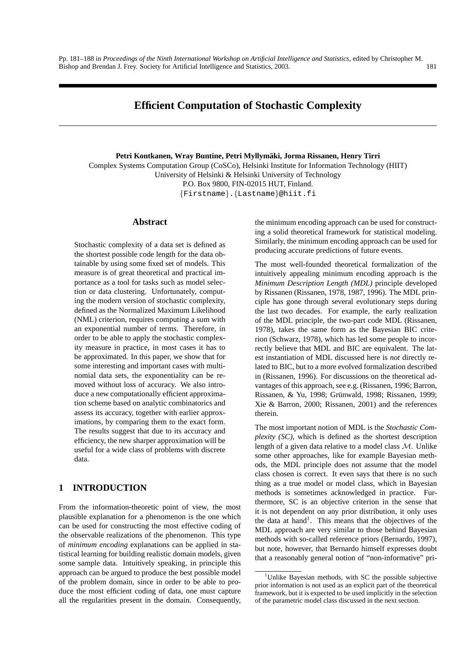Pp. 181–188 in *Proceedings of the Ninth International Workshop on Artificial Intelligence and Statistics*, edited by Christopher M. Bishop and Brendan J. Frey. Society for Artificial Intelligence and Statistics, 2003. 181

**Petri Kontkanen, Wray Buntine, Petri Myllymaki, Jorma Rissanen, Henry Tirri ¨** Complex Systems Computation Group (CoSCo), Helsinki Institute for Information Technology (HIIT) University of Helsinki & Helsinki University of Technology P.O. Box 9800, FIN-02015 HUT, Finland. {Firstname}.{Lastname}@hiit.fi

#### **Abstract**

Stochastic complexity of a data set is defined as the shortest possible code length for the data obtainable by using some fixed set of models. This measure is of great theoretical and practical importance as a tool for tasks such as model selection or data clustering. Unfortunately, computing the modern version of stochastic complexity, defined as the Normalized Maximum Likelihood (NML) criterion, requires computing a sum with an exponential number of terms. Therefore, in order to be able to apply the stochastic complexity measure in practice, in most cases it has to be approximated. In this paper, we show that for some interesting and important cases with multinomial data sets, the exponentiality can be removed without loss of accuracy. We also introduce a new computationally efficient approximation scheme based on analytic combinatorics and assess its accuracy, together with earlier approximations, by comparing them to the exact form. The results suggest that due to its accuracy and efficiency, the new sharper approximation will be useful for a wide class of problems with discrete data.

# **1 INTRODUCTION**

From the information-theoretic point of view, the most plausible explanation for a phenomenon is the one which can be used for constructing the most effective coding of the observable realizations of the phenomenon. This type of *minimum encoding* explanations can be applied in statistical learning for building realistic domain models, given some sample data. Intuitively speaking, in principle this approach can be argued to produce the best possible model of the problem domain, since in order to be able to produce the most efficient coding of data, one must capture all the regularities present in the domain. Consequently, the minimum encoding approach can be used for constructing a solid theoretical framework for statistical modeling. Similarly, the minimum encoding approach can be used for producing accurate predictions of future events.

The most well-founded theoretical formalization of the intuitively appealing minimum encoding approach is the *Minimum Description Length (MDL)* principle developed by Rissanen (Rissanen, 1978, 1987, 1996). The MDL principle has gone through several evolutionary steps during the last two decades. For example, the early realization of the MDL principle, the two-part code MDL (Rissanen, 1978), takes the same form as the Bayesian BIC criterion (Schwarz, 1978), which has led some people to incorrectly believe that MDL and BIC are equivalent. The latest instantiation of MDL discussed here is *not* directly related to BIC, but to a more evolved formalization described in (Rissanen, 1996). For discussions on the theoretical advantages of this approach, see e.g. (Rissanen, 1996; Barron, Rissanen, & Yu, 1998; Grünwald, 1998; Rissanen, 1999; Xie & Barron, 2000; Rissanen, 2001) and the references therein.

The most important notion of MDL is the *Stochastic Complexity (SC)*, which is defined as the shortest description length of a given data relative to a model class M. Unlike some other approaches, like for example Bayesian methods, the MDL principle does not assume that the model class chosen is correct. It even says that there is no such thing as a true model or model class, which in Bayesian methods is sometimes acknowledged in practice. Furthermore, SC is an objective criterion in the sense that it is not dependent on any prior distribution, it only uses the data at hand<sup>1</sup>. This means that the objectives of the MDL approach are very similar to those behind Bayesian methods with so-called reference priors (Bernardo, 1997), but note, however, that Bernardo himself expresses doubt that a reasonably general notion of "non-informative" pri-

<sup>&</sup>lt;sup>1</sup>Unlike Bayesian methods, with SC the possible subjective prior information is not used as an explicit part of the theoretical framework, but it is expected to be used implicitly in the selection of the parametric model class discussed in the next section.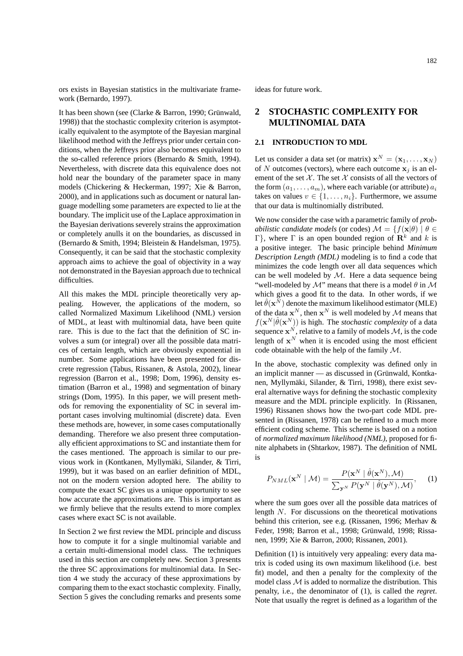ors exists in Bayesian statistics in the multivariate framework (Bernardo, 1997).

It has been shown (see (Clarke & Barron, 1990; Grünwald, 1998)) that the stochastic complexity criterion is asymptotically equivalent to the asymptote of the Bayesian marginal likelihood method with the Jeffreys prior under certain conditions, when the Jeffreys prior also becomes equivalent to the so-called reference priors (Bernardo & Smith, 1994). Nevertheless, with discrete data this equivalence does not hold near the boundary of the parameter space in many models (Chickering & Heckerman, 1997; Xie & Barron, 2000), and in applications such as document or natural language modelling some parameters are expected to lie at the boundary. The implicit use of the Laplace approximation in the Bayesian derivations severely strains the approximation or completely anulls it on the boundaries, as discussed in (Bernardo & Smith, 1994; Bleistein & Handelsman, 1975). Consequently, it can be said that the stochastic complexity approach aims to achieve the goal of objectivity in a way not demonstrated in the Bayesian approach due to technical difficulties.

All this makes the MDL principle theoretically very appealing. However, the applications of the modern, so called Normalized Maximum Likelihood (NML) version of MDL, at least with multinomial data, have been quite rare. This is due to the fact that the definition of SC involves a sum (or integral) over all the possible data matrices of certain length, which are obviously exponential in number. Some applications have been presented for discrete regression (Tabus, Rissanen, & Astola, 2002), linear regression (Barron et al., 1998; Dom, 1996), density estimation (Barron et al., 1998) and segmentation of binary strings (Dom, 1995). In this paper, we will present methods for removing the exponentiality of SC in several important cases involving multinomial (discrete) data. Even these methods are, however, in some cases computationally demanding. Therefore we also present three computationally efficient approximations to SC and instantiate them for the cases mentioned. The approach is similar to our previous work in (Kontkanen, Myllymäki, Silander, & Tirri, 1999), but it was based on an earlier definition of MDL, not on the modern version adopted here. The ability to compute the exact SC gives us a unique opportunity to see how accurate the approximations are. This is important as we firmly believe that the results extend to more complex cases where exact SC is not available.

In Section 2 we first review the MDL principle and discuss how to compute it for a single multinomial variable and a certain multi-dimensional model class. The techniques used in this section are completely new. Section 3 presents the three SC approximations for multinomial data. In Section 4 we study the accuracy of these approximations by comparing them to the exact stochastic complexity. Finally, Section 5 gives the concluding remarks and presents some ideas for future work.

# **2 STOCHASTIC COMPLEXITY FOR MULTINOMIAL DATA**

#### **2.1 INTRODUCTION TO MDL**

Let us consider a data set (or matrix)  $\mathbf{x}^N = (\mathbf{x}_1, \dots, \mathbf{x}_N)$ of N outcomes (vectors), where each outcome  $x_i$  is an element of the set  $X$ . The set  $X$  consists of all the vectors of the form  $(a_1, \ldots, a_m)$ , where each variable (or attribute)  $a_i$ takes on values  $v \in \{1, \ldots, n_i\}$ . Furthermore, we assume that our data is multinomially distributed.

We now consider the case with a parametric family of *probabilistic candidate models* (or codes)  $\mathcal{M} = \{f(\mathbf{x}|\theta) | \theta \in$ Γ}, where Γ is an open bounded region of  $\mathbf{R}^k$  and k is a positive integer. The basic principle behind *Minimum Description Length (MDL)* modeling is to find a code that minimizes the code length over all data sequences which can be well modeled by  $M$ . Here a data sequence being "well-modeled by  $\mathcal{M}$ " means that there is a model  $\theta$  in  $\mathcal{M}$ which gives a good fit to the data. In other words, if we let  $\hat{\theta}(\mathbf{x}^N)$  denote the maximum likelihood estimator (MLE) of the data  $x^N$ , then  $x^N$  is well modeled by M means that  $f(\mathbf{x}^N | \hat{\theta}(\mathbf{x}^N))$  is high. The *stochastic complexity* of a data sequence  $\mathbf{x}^N$ , relative to a family of models M, is the code length of  $x^N$  when it is encoded using the most efficient code obtainable with the help of the family M.

In the above, stochastic complexity was defined only in an implicit manner — as discussed in (Grünwald, Kontkanen, Myllymäki, Silander, & Tirri, 1998), there exist several alternative ways for defining the stochastic complexity measure and the MDL principle explicitly. In (Rissanen, 1996) Rissanen shows how the two-part code MDL presented in (Rissanen, 1978) can be refined to a much more efficient coding scheme. This scheme is based on a notion of *normalized maximum likelihood (NML)*, proposed for finite alphabets in (Shtarkov, 1987). The definition of NML is

$$
P_{NML}(\mathbf{x}^{N} | \mathcal{M}) = \frac{P(\mathbf{x}^{N} | \hat{\theta}(\mathbf{x}^{N}), \mathcal{M})}{\sum_{\mathbf{y}^{N}} P(\mathbf{y}^{N} | \hat{\theta}(\mathbf{y}^{N}), \mathcal{M})}, \quad (1)
$$

where the sum goes over all the possible data matrices of length N. For discussions on the theoretical motivations behind this criterion, see e.g. (Rissanen, 1996; Merhav & Feder, 1998; Barron et al., 1998; Grünwald, 1998; Rissanen, 1999; Xie & Barron, 2000; Rissanen, 2001).

Definition (1) is intuitively very appealing: every data matrix is coded using its own maximum likelihood (i.e. best fit) model, and then a penalty for the complexity of the model class  $M$  is added to normalize the distribution. This penalty, i.e., the denominator of (1), is called the *regret*. Note that usually the regret is defined as a logarithm of the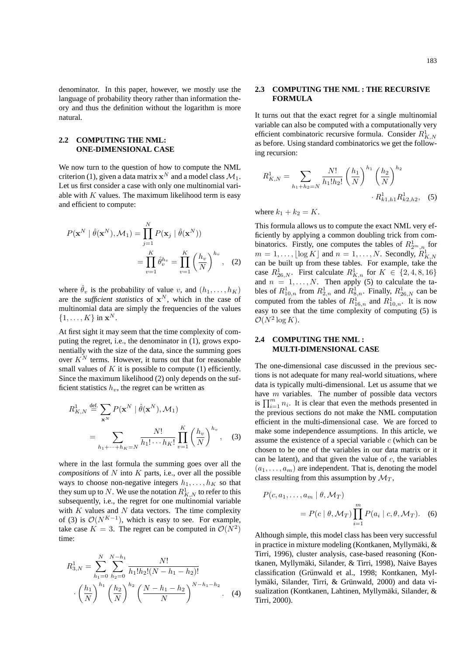denominator. In this paper, however, we mostly use the language of probability theory rather than information theory and thus the definition without the logarithm is more natural.

#### **2.2 COMPUTING THE NML: ONE-DIMENSIONAL CASE**

We now turn to the question of how to compute the NML criterion (1), given a data matrix  $\mathbf{x}^N$  and a model class  $\mathcal{M}_1$ . Let us first consider a case with only one multinomial variable with  $K$  values. The maximum likelihood term is easy and efficient to compute:

$$
P(\mathbf{x}^{N} | \hat{\theta}(\mathbf{x}^{N}), \mathcal{M}_{1}) = \prod_{j=1}^{N} P(\mathbf{x}_{j} | \hat{\theta}(\mathbf{x}^{N}))
$$
  
= 
$$
\prod_{v=1}^{K} \hat{\theta}_{v}^{h_{v}} = \prod_{v=1}^{K} \left(\frac{h_{v}}{N}\right)^{h_{v}}, (2)
$$

where  $\hat{\theta}_v$  is the probability of value v, and  $(h_1, \ldots, h_K)$ are the *sufficient statistics* of  $x^N$ , which in the case of multinomial data are simply the frequencies of the values  $\{1,\ldots,K\}$  in  $\mathbf{x}^N$ .

At first sight it may seem that the time complexity of computing the regret, i.e., the denominator in (1), grows exponentially with the size of the data, since the summing goes over  $K^N$  terms. However, it turns out that for reasonable small values of  $K$  it is possible to compute (1) efficiently. Since the maximum likelihood (2) only depends on the sufficient statistics  $h_v$ , the regret can be written as

$$
R_{K,N}^{1} \stackrel{\text{def.}}{=} \sum_{\mathbf{x}^{N}} P(\mathbf{x}^{N} \mid \hat{\theta}(\mathbf{x}^{N}), \mathcal{M}_{1})
$$

$$
= \sum_{h_{1} + \dots + h_{K} = N} \frac{N!}{h_{1}! \cdots h_{K}!} \prod_{v=1}^{K} \left(\frac{h_{v}}{N}\right)^{h_{v}}, \quad (3)
$$

where in the last formula the summing goes over all the *compositions* of  $N$  into  $K$  parts, i.e., over all the possible ways to choose non-negative integers  $h_1, \ldots, h_K$  so that they sum up to  $N$ . We use the notation  $R^1_{K,N}$  to refer to this subsequently, i.e., the regret for one multinomial variable with  $K$  values and  $N$  data vectors. The time complexity of (3) is  $\mathcal{O}(N^{K-1})$ , which is easy to see. For example, take case  $K = 3$ . The regret can be computed in  $\mathcal{O}(N^2)$ time:

$$
R_{3,N}^{1} = \sum_{h_1=0}^{N} \sum_{h_2=0}^{N-h_1} \frac{N!}{h_1! h_2! (N-h_1-h_2)!}
$$

$$
\cdot \left(\frac{h_1}{N}\right)^{h_1} \left(\frac{h_2}{N}\right)^{h_2} \left(\frac{N-h_1-h_2}{N}\right)^{N-h_1-h_2}.
$$
 (4)

#### **2.3 COMPUTING THE NML : THE RECURSIVE FORMULA**

It turns out that the exact regret for a single multinomial variable can also be computed with a computationally very efficient combinatoric recursive formula. Consider  $R^1_{K,N}$ as before. Using standard combinatorics we get the following recursion:

$$
R_{K,N}^{1} = \sum_{h_1 + h_2 = N} \frac{N!}{h_1! h_2!} \left(\frac{h_1}{N}\right)^{h_1} \left(\frac{h_2}{N}\right)^{h_2} \cdot R_{k1,h1}^{1} R_{k2,h2}^{1}, \quad (5)
$$

 $\overline{ }$ 

where  $k_1 + k_2 = K$ .

This formula allows us to compute the exact NML very efficiently by applying a common doubling trick from combinatorics. Firstly, one computes the tables of  $R^1_{2^m,n}$  for  $m = 1, \ldots, \lfloor \log K \rfloor$  and  $n = 1, \ldots, N$ . Secondly,  $\widehat{R}_{K,N}^1$ can be built up from these tables. For example, take the case  $R_{26,N}^1$ . First calculate  $R_{K,n}^1$  for  $K \in \{2,4,8,16\}$ and  $n = 1, \ldots, N$ . Then apply (5) to calculate the tables of  $R_{10,n}^1$  from  $R_{2,n}^1$  and  $R_{8,n}^1$ . Finally,  $R_{26,N}^1$  can be computed from the tables of  $R_{16,n}^1$  and  $R_{10,n}^1$ . It is now easy to see that the time complexity of computing (5) is  $\mathcal{O}(N^2 \log K)$ .

## **2.4 COMPUTING THE NML : MULTI-DIMENSIONAL CASE**

The one-dimensional case discussed in the previous sections is not adequate for many real-world situations, where data is typically multi-dimensional. Let us assume that we have  $m$  variables. The number of possible data vectors have *m* variables. The number of possible data vectors is  $\prod_{i=1}^{m} n_i$ . It is clear that even the methods presented in the previous sections do not make the NML computation efficient in the multi-dimensional case. We are forced to make some independence assumptions. In this article, we assume the existence of a special variable  $c$  (which can be chosen to be one of the variables in our data matrix or it can be latent), and that given the value of  $c$ , the variables  $(a_1, \ldots, a_m)$  are independent. That is, denoting the model class resulting from this assumption by  $\mathcal{M}_T$ ,

$$
P(c, a_1, \dots, a_m | \theta, \mathcal{M}_T)
$$
  
=  $P(c | \theta, \mathcal{M}_T) \prod_{i=1}^m P(a_i | c, \theta, \mathcal{M}_T).$  (6)

Although simple, this model class has been very successful in practice in mixture modeling (Kontkanen, Myllymaki, & ¨ Tirri, 1996), cluster analysis, case-based reasoning (Kontkanen, Myllymaki, Silander, & Tirri, 1998), Naive Bayes ¨ classification (Grünwald et al., 1998; Kontkanen, Myllymäki, Silander, Tirri, & Grünwald, 2000) and data visualization (Kontkanen, Lahtinen, Myllymäki, Silander, & Tirri, 2000).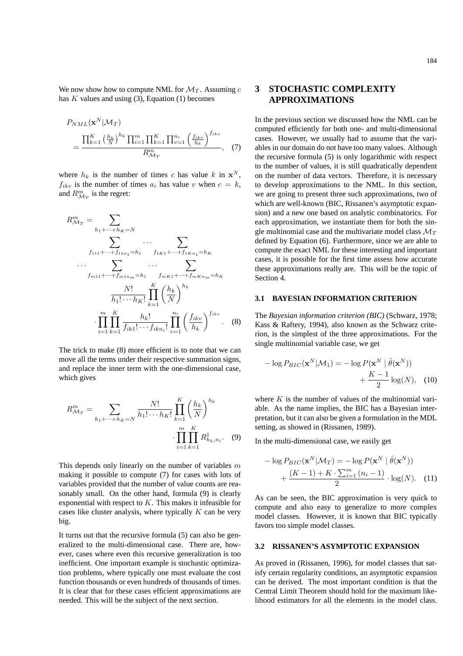We now show how to compute NML for  $\mathcal{M}_T$ . Assuming c has  $K$  values and using (3), Equation (1) becomes

$$
P_{NML}(\mathbf{x}^{N}|\mathcal{M}_{T})
$$
  
= 
$$
\frac{\prod_{k=1}^{K} \left(\frac{h_{k}}{N}\right)^{h_{k}} \prod_{i=1}^{m} \prod_{k=1}^{K} \prod_{v=1}^{n_{i}} \left(\frac{f_{ikv}}{h_{k}}\right)^{f_{ikv}}}{R_{\mathcal{M}_{T}}^{m}}, \quad (7)
$$

where  $h_k$  is the number of times c has value k in  $x^N$ ,  $f_{ikv}$  is the number of times  $a_i$  has value v when  $c = k$ , and  $R_{\mathcal{M}_T}^m$  is the regret:

$$
R_{\mathcal{M}_T}^m = \sum_{h_1 + \dots + h_K = N} \dots \sum_{f_{111} + \dots + f_{11n_1} = h_1} \dots \sum_{f_{1K1} + \dots + f_{1Kn_1} = h_K} \dots \sum_{f_{m11} + \dots + f_{m1n_m} = h_1} \dots \sum_{f_{mK1} + \dots + f_{mKn_m} = h_K} \frac{N!}{h_1! \dots h_K!} \prod_{k=1}^K \left(\frac{h_k}{N}\right)^{h_k} \cdot \prod_{i=1}^m \prod_{k=1}^K \frac{h_k!}{f_{ik1}! \dots f_{ikn_i}!} \prod_{v=1}^{n_i} \left(\frac{f_{ikv}}{h_k}\right)^{f_{ikv}}. \tag{8}
$$

The trick to make (8) more efficient is to note that we can move all the terms under their respective summation signs, and replace the inner term with the one-dimensional case, which gives

$$
R_{\mathcal{M}_T}^m = \sum_{h_1 + \dots + h_K = N} \frac{N!}{h_1! \cdots h_K!} \prod_{k=1}^K \left(\frac{h_k}{N}\right)^{h_k} \cdot \prod_{i=1}^m \prod_{k=1}^K R_{h_k, n_i}^1.
$$
 (9)

This depends only linearly on the number of variables  $m$ making it possible to compute (7) for cases with lots of variables provided that the number of value counts are reasonably small. On the other hand, formula (9) is clearly exponential with respect to K. This makes it infeasible for cases like cluster analysis, where typically  $K$  can be very big.

It turns out that the recursive formula (5) can also be generalized to the multi-dimensional case. There are, however, cases where even this recursive generalization is too inefficient. One important example is stochastic optimization problems, where typically one must evaluate the cost function thousands or even hundreds of thousands of times. It is clear that for these cases efficient approximations are needed. This will be the subject of the next section.

# **3 STOCHASTIC COMPLEXITY APPROXIMATIONS**

In the previous section we discussed how the NML can be computed efficiently for both one- and multi-dimensional cases. However, we usually had to assume that the variables in our domain do not have too many values. Although the recursive formula (5) is only logarithmic with respect to the number of values, it is still quadratically dependent on the number of data vectors. Therefore, it is necessary to develop approximations to the NML. In this section, we are going to present three such approximations, two of which are well-known (BIC, Rissanen's asymptotic expansion) and a new one based on analytic combinatorics. For each approximation, we instantiate them for both the single multinomial case and the multivariate model class  $\mathcal{M}_T$ defined by Equation (6). Furthermore, since we are able to compute the exact NML for these interesting and important cases, it is possible for the first time assess how accurate these approximations really are. This will be the topic of Section 4.

#### **3.1 BAYESIAN INFORMATION CRITERION**

The *Bayesian information criterion (BIC)* (Schwarz, 1978; Kass & Raftery, 1994), also known as the Schwarz criterion, is the simplest of the three approximations. For the single multinomial variable case, we get

$$
-\log P_{BIC}(\mathbf{x}^{N}|\mathcal{M}_1) = -\log P(\mathbf{x}^{N} | \hat{\theta}(\mathbf{x}^{N}))
$$

$$
+ \frac{K-1}{2}\log(N), \quad (10)
$$

where  $K$  is the number of values of the multinomial variable. As the name implies, the BIC has a Bayesian interpretation, but it can also be given a formulation in the MDL setting, as showed in (Rissanen, 1989).

In the multi-dimensional case, we easily get

$$
- \log P_{BIC}(\mathbf{x}^{N}|\mathcal{M}_{T}) = -\log P(\mathbf{x}^{N} | \hat{\theta}(\mathbf{x}^{N}))
$$

$$
+ \frac{(K-1) + K \cdot \sum_{i=1}^{m} (n_{i} - 1)}{2} \cdot \log(N). \quad (11)
$$

As can be seen, the BIC approximation is very quick to compute and also easy to generalize to more complex model classes. However, it is known that BIC typically favors too simple model classes.

#### **3.2 RISSANEN'S ASYMPTOTIC EXPANSION**

As proved in (Rissanen, 1996), for model classes that satisfy certain regularity conditions, an asymptotic expansion can be derived. The most important condition is that the Central Limit Theorem should hold for the maximum likelihood estimators for all the elements in the model class.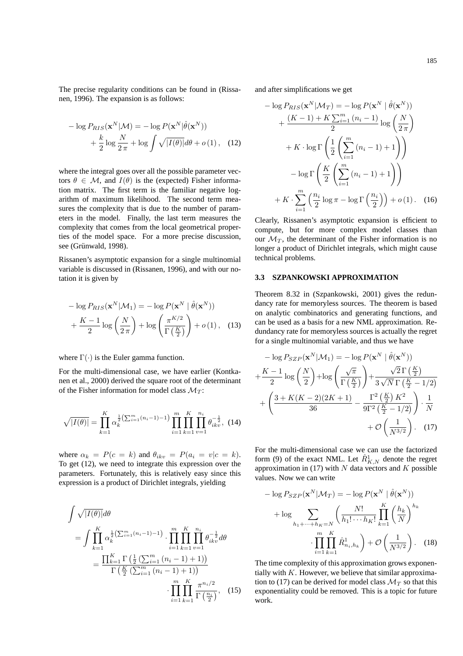The precise regularity conditions can be found in (Rissanen, 1996). The expansion is as follows:

$$
- \log P_{RIS}(\mathbf{x}^{N}|\mathcal{M}) = - \log P(\mathbf{x}^{N}|\hat{\theta}(\mathbf{x}^{N}))
$$

$$
+ \frac{k}{2} \log \frac{N}{2\pi} + \log \int \sqrt{|I(\theta)|} d\theta + o(1), \quad (12)
$$

where the integral goes over all the possible parameter vectors  $\theta \in \mathcal{M}$ , and  $I(\theta)$  is the (expected) Fisher information matrix. The first term is the familiar negative logarithm of maximum likelihood. The second term measures the complexity that is due to the number of parameters in the model. Finally, the last term measures the complexity that comes from the local geometrical properties of the model space. For a more precise discussion, see (Grünwald, 1998).

Rissanen's asymptotic expansion for a single multinomial variable is discussed in (Rissanen, 1996), and with our notation it is given by

$$
-\log P_{RIS}(\mathbf{x}^{N}|\mathcal{M}_1) = -\log P(\mathbf{x}^{N} | \hat{\theta}(\mathbf{x}^{N}))
$$

$$
+\frac{K-1}{2}\log\left(\frac{N}{2\pi}\right) + \log\left(\frac{\pi^{K/2}}{\Gamma\left(\frac{K}{2}\right)}\right) + o(1), \quad (13)
$$

where  $\Gamma(\cdot)$  is the Euler gamma function.

For the multi-dimensional case, we have earlier (Kontkanen et al., 2000) derived the square root of the determinant of the Fisher information for model class  $\mathcal{M}_T$ :

$$
\sqrt{|I(\theta)|} = \prod_{k=1}^{K} \alpha_k^{\frac{1}{2} \left( \sum_{i=1}^{m} (n_i - 1) - 1 \right)} \prod_{i=1}^{m} \prod_{k=1}^{K} \prod_{v=1}^{n_i} \theta_{ikv}^{-\frac{1}{2}}, \tag{14}
$$

where  $\alpha_k = P(c = k)$  and  $\theta_{ikv} = P(a_i = v|c = k)$ . To get (12), we need to integrate this expression over the parameters. Fortunately, this is relatively easy since this expression is a product of Dirichlet integrals, yielding

$$
\int \sqrt{|I(\theta)|} d\theta
$$
\n
$$
= \int \prod_{k=1}^{K} \alpha_k^{\frac{1}{2} (\sum_{i=1}^{m} (n_i - 1) - 1)} \cdot \prod_{i=1}^{m} \prod_{k=1}^{K} \prod_{v=1}^{n_i} \theta_{ikv}^{-\frac{1}{2}} d\theta
$$
\n
$$
= \frac{\prod_{k=1}^{K} \Gamma(\frac{1}{2} (\sum_{i=1}^{m} (n_i - 1) + 1))}{\Gamma(\frac{K}{2} (\sum_{i=1}^{m} (n_i - 1) + 1))} \cdot \prod_{i=1}^{m} \prod_{k=1}^{K} \frac{\pi^{n_i/2}}{\Gamma(\frac{n_i}{2})}, \quad (15)
$$

and after simplifications we get

$$
-\log P_{RIS}(\mathbf{x}^{N}|\mathcal{M}_{T}) = -\log P(\mathbf{x}^{N} | \hat{\theta}(\mathbf{x}^{N}))
$$

$$
+\frac{(K-1) + K\sum_{i=1}^{m} (n_{i} - 1)}{2} \log \left(\frac{N}{2\pi}\right)
$$

$$
+ K \cdot \log \Gamma \left(\frac{1}{2} \left(\sum_{i=1}^{m} (n_{i} - 1) + 1\right)\right)
$$

$$
-\log \Gamma \left(\frac{K}{2} \left(\sum_{i=1}^{m} (n_{i} - 1) + 1\right)\right)
$$

$$
+ K \cdot \sum_{i=1}^{m} \left(\frac{n_{i}}{2} \log \pi - \log \Gamma \left(\frac{n_{i}}{2}\right)\right) + o(1). \quad (16)
$$

Clearly, Rissanen's asymptotic expansion is efficient to compute, but for more complex model classes than our  $\mathcal{M}_T$ , the determinant of the Fisher information is no longer a product of Dirichlet integrals, which might cause technical problems.

## **3.3 SZPANKOWSKI APPROXIMATION**

Theorem 8.32 in (Szpankowski, 2001) gives the redundancy rate for memoryless sources. The theorem is based on analytic combinatorics and generating functions, and can be used as a basis for a new NML approximation. Redundancy rate for memoryless sources is actually the regret for a single multinomial variable, and thus we have

$$
-\log P_{SZP}(\mathbf{x}^{N}|\mathcal{M}_{1}) = -\log P(\mathbf{x}^{N} | \hat{\theta}(\mathbf{x}^{N}))
$$

$$
+\frac{K-1}{2}\log\left(\frac{N}{2}\right) + \log\left(\frac{\sqrt{\pi}}{\Gamma(\frac{K}{2})}\right) + \frac{\sqrt{2}\Gamma(\frac{K}{2})}{3\sqrt{N}\Gamma(\frac{K}{2}-1/2)}
$$

$$
+\left(\frac{3+K(K-2)(2K+1)}{36} - \frac{\Gamma^{2}(\frac{K}{2})K^{2}}{9\Gamma^{2}(\frac{K}{2}-1/2)}\right) \cdot \frac{1}{N}
$$

$$
+\mathcal{O}\left(\frac{1}{N^{3/2}}\right). (17)
$$

For the multi-dimensional case we can use the factorized form (9) of the exact NML. Let  $\hat{R}^1_{K,N}$  denote the regret approximation in (17) with  $N$  data vectors and  $K$  possible values. Now we can write

$$
-\log P_{SZP}(\mathbf{x}^{N}|\mathcal{M}_{T}) = -\log P(\mathbf{x}^{N} | \hat{\theta}(\mathbf{x}^{N}))
$$

$$
+\log \sum_{h_{1}+\dots+h_{K}=N} \left(\frac{N!}{h_{1}! \dots h_{K}!} \prod_{k=1}^{K} \left(\frac{h_{k}}{N}\right)^{h_{k}}
$$

$$
\cdot \prod_{i=1}^{m} \prod_{k=1}^{K} \hat{R}_{n_{i},h_{k}}^{1} \right) + \mathcal{O}\left(\frac{1}{N^{3/2}}\right). \quad (18)
$$

The time complexity of this approximation grows exponentially with  $K$ . However, we believe that similar approximation to (17) can be derived for model class  $\mathcal{M}_T$  so that this exponentiality could be removed. This is a topic for future work.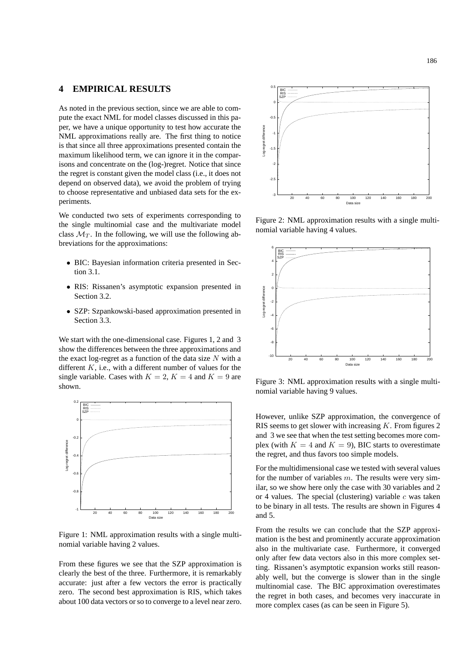## **4 EMPIRICAL RESULTS**

As noted in the previous section, since we are able to compute the exact NML for model classes discussed in this paper, we have a unique opportunity to test how accurate the NML approximations really are. The first thing to notice is that since all three approximations presented contain the maximum likelihood term, we can ignore it in the comparisons and concentrate on the (log-)regret. Notice that since the regret is constant given the model class (i.e., it does not depend on observed data), we avoid the problem of trying to choose representative and unbiased data sets for the experiments.

We conducted two sets of experiments corresponding to the single multinomial case and the multivariate model class  $\mathcal{M}_T$ . In the following, we will use the following abbreviations for the approximations:

- BIC: Bayesian information criteria presented in Section 3.1.
- RIS: Rissanen's asymptotic expansion presented in Section 3.2.
- SZP: Szpankowski-based approximation presented in Section 3.3.

We start with the one-dimensional case. Figures 1, 2 and 3 show the differences between the three approximations and the exact log-regret as a function of the data size  $N$  with a different  $K$ , i.e., with a different number of values for the single variable. Cases with  $K = 2$ ,  $K = 4$  and  $K = 9$  are shown.



Figure 1: NML approximation results with a single multinomial variable having 2 values.

From these figures we see that the SZP approximation is clearly the best of the three. Furthermore, it is remarkably accurate: just after a few vectors the error is practically zero. The second best approximation is RIS, which takes about 100 data vectors or so to converge to a level near zero.



Figure 2: NML approximation results with a single multinomial variable having 4 values.



Figure 3: NML approximation results with a single multinomial variable having 9 values.

However, unlike SZP approximation, the convergence of RIS seems to get slower with increasing K. From figures 2 and 3 we see that when the test setting becomes more complex (with  $K = 4$  and  $K = 9$ ), BIC starts to overestimate the regret, and thus favors too simple models.

For the multidimensional case we tested with several values for the number of variables  $m$ . The results were very similar, so we show here only the case with 30 variables and 2 or 4 values. The special (clustering) variable  $c$  was taken to be binary in all tests. The results are shown in Figures 4 and 5.

From the results we can conclude that the SZP approximation is the best and prominently accurate approximation also in the multivariate case. Furthermore, it converged only after few data vectors also in this more complex setting. Rissanen's asymptotic expansion works still reasonably well, but the converge is slower than in the single multinomial case. The BIC approximation overestimates the regret in both cases, and becomes very inaccurate in more complex cases (as can be seen in Figure 5).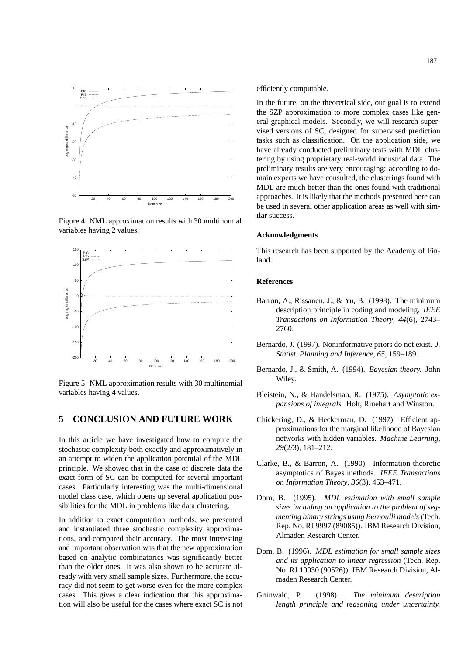

Figure 4: NML approximation results with 30 multinomial variables having 2 values.



Figure 5: NML approximation results with 30 multinomial variables having 4 values.

# **5 CONCLUSION AND FUTURE WORK**

In this article we have investigated how to compute the stochastic complexity both exactly and approximatively in an attempt to widen the application potential of the MDL principle. We showed that in the case of discrete data the exact form of SC can be computed for several important cases. Particularly interesting was the multi-dimensional model class case, which opens up several application possibilities for the MDL in problems like data clustering.

In addition to exact computation methods, we presented and instantiated three stochastic complexity approximations, and compared their accuracy. The most interesting and important observation was that the new approximation based on analytic combinatorics was significantly better than the older ones. It was also shown to be accurate already with very small sample sizes. Furthermore, the accuracy did not seem to get worse even for the more complex cases. This gives a clear indication that this approximation will also be useful for the cases where exact SC is not efficiently computable.

In the future, on the theoretical side, our goal is to extend the SZP approximation to more complex cases like general graphical models. Secondly, we will research supervised versions of SC, designed for supervised prediction tasks such as classification. On the application side, we have already conducted preliminary tests with MDL clustering by using proprietary real-world industrial data. The preliminary results are very encouraging: according to domain experts we have consulted, the clusterings found with MDL are much better than the ones found with traditional approaches. It is likely that the methods presented here can be used in several other application areas as well with similar success.

#### **Acknowledgments**

This research has been supported by the Academy of Finland.

#### **References**

- Barron, A., Rissanen, J., & Yu, B. (1998). The minimum description principle in coding and modeling. *IEEE Transactions on Information Theory*, *44*(6), 2743– 2760.
- Bernardo, J. (1997). Noninformative priors do not exist. *J. Statist. Planning and Inference*, *65*, 159–189.
- Bernardo, J., & Smith, A. (1994). *Bayesian theory.* John Wiley.
- Bleistein, N., & Handelsman, R. (1975). *Asymptotic expansions of integrals.* Holt, Rinehart and Winston.
- Chickering, D., & Heckerman, D. (1997). Efficient approximations for the marginal likelihood of Bayesian networks with hidden variables. *Machine Learning*, *29*(2/3), 181–212.
- Clarke, B., & Barron, A. (1990). Information-theoretic asymptotics of Bayes methods. *IEEE Transactions on Information Theory*, *36*(3), 453–471.
- Dom, B. (1995). *MDL estimation with small sample sizes including an application to the problem of segmenting binary strings using Bernoulli models*(Tech. Rep. No. RJ 9997 (89085)). IBM Research Division, Almaden Research Center.
- Dom, B. (1996). *MDL estimation for small sample sizes and its application to linear regression* (Tech. Rep. No. RJ 10030 (90526)). IBM Research Division, Almaden Research Center.
- Grünwald, P. (1998). *The minimum description length principle and reasoning under uncertainty.*